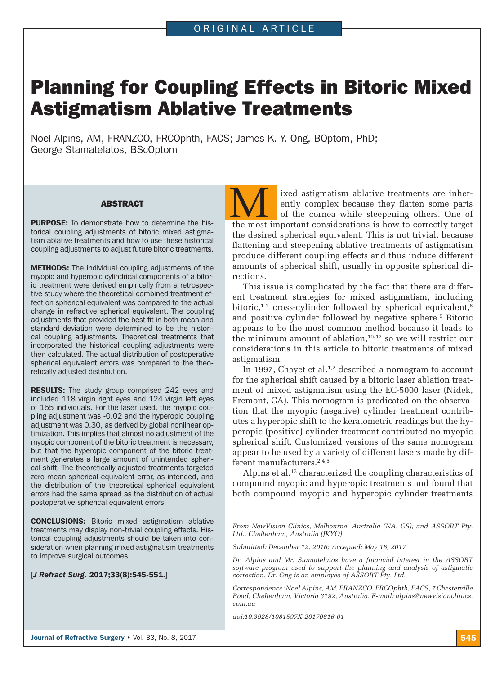# Planning for Coupling Effects in Bitoric Mixed Astigmatism Ablative Treatments

Noel Alpins, AM, FRANZCO, FRCOphth, FACS; James K. Y. Ong, BOptom, PhD; George Stamatelatos, BScOptom

### ABSTRACT

PURPOSE: To demonstrate how to determine the historical coupling adjustments of bitoric mixed astigma tism ablative treatments and how to use these historical coupling adjustments to adjust future bitoric treatments.

METHODS: The individual coupling adjustments of the myopic and hyperopic cylindrical components of a bitoric treatment were derived empirically from a retrospective study where the theoretical combined treatment effect on spherical equivalent was compared to the actual change in refractive spherical equivalent. The coupling adjustments that provided the best fit in both mean and standard deviation were determined to be the historical coupling adjustments. Theoretical treatments that incorporated the historical coupling adjustments were then calculated. The actual distribution of postoperative spherical equivalent errors was compared to the theoretically adjusted distribution.

**RESULTS:** The study group comprised 242 eyes and included 118 virgin right eyes and 124 virgin left eyes of 155 individuals. For the laser used, the myopic coupling adjustment was -0.02 and the hyperopic coupling adjustment was 0.30, as derived by global nonlinear optimization. This implies that almost no adjustment of the myopic component of the bitoric treatment is necessary, but that the hyperopic component of the bitoric treatment generates a large amount of unintended spherical shift. The theoretically adjusted treatments targeted zero mean spherical equivalent error, as intended, and the distribution of the theoretical spherical equivalent errors had the same spread as the distribution of actual postoperative spherical equivalent errors.

CONCLUSIONS: Bitoric mixed astigmatism ablative treatments may display non-trivial coupling effects. Historical coupling adjustments should be taken into consideration when planning mixed astigmatism treatments to improve surgical outcomes.

[*J Refract Surg*. 2017;33(8):545-551.]

ixed astigmatism ablative treatments are inherently complex because they flatten some parts of the cornea while steepening others. One of wed astigmatism ablative treatments are inherently complex because they flatten some parts of the cornea while steepening others. One of the most important considerations is how to correctly target the desired spherical equivalent. This is not trivial, because flattening and steepening ablative treatments of astigmatism produce different coupling effects and thus induce different amounts of spherical shift, usually in opposite spherical directions.

This issue is complicated by the fact that there are different treatment strategies for mixed astigmatism, including bitoric, $1-7$  cross-cylinder followed by spherical equivalent, $8$ and positive cylinder followed by negative sphere.9 Bitoric appears to be the most common method because it leads to the minimum amount of ablation,10-12 so we will restrict our considerations in this article to bitoric treatments of mixed astigmatism.

In 1997, Chayet et al. $1,2$  described a nomogram to account for the spherical shift caused by a bitoric laser ablation treatment of mixed astigmatism using the EC-5000 laser (Nidek, Fremont, CA). This nomogram is predicated on the observation that the myopic (negative) cylinder treatment contributes a hyperopic shift to the keratometric readings but the hyperopic (positive) cylinder treatment contributed no myopic spherical shift. Customized versions of the same nomogram appear to be used by a variety of different lasers made by different manufacturers.<sup>2,4,5</sup>

Alpins et al.13 characterized the coupling characteristics of compound myopic and hyperopic treatments and found that both compound myopic and hyperopic cylinder treatments

*From NewVision Clinics, Melbourne, Australia (NA, GS); and ASSORT Pty. Ltd., Cheltenham, Australia (JKYO).*

*Submitted: December 12, 2016; Accepted: May 16, 2017*

*Dr. Alpins and Mr. Stamatelatos have a financial interest in the ASSORT software program used to support the planning and analysis of astigmatic correction. Dr. Ong is an employee of ASSORT Pty. Ltd.*

*Correspondence: Noel Alpins, AM, FRANZCO, FRCOphth, FACS, 7 Chesterville Road, Cheltenham, Victoria 3192, Australia. E-mail: alpins@newvisionclinics. com.au*

*doi:10.3928/1081597X-20170616-01*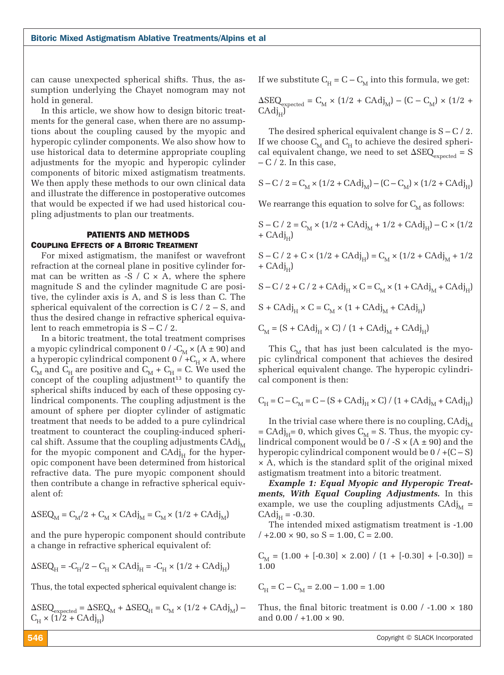can cause unexpected spherical shifts. Thus, the assumption underlying the Chayet nomogram may not hold in general.

In this article, we show how to design bitoric treatments for the general case, when there are no assumptions about the coupling caused by the myopic and hyperopic cylinder components. We also show how to use historical data to determine appropriate coupling adjustments for the myopic and hyperopic cylinder components of bitoric mixed astigmatism treatments. We then apply these methods to our own clinical data and illustrate the difference in postoperative outcomes that would be expected if we had used historical coupling adjustments to plan our treatments.

## PATIENTS AND METHODS Coupling Effects of a Bitoric Treatment

For mixed astigmatism, the manifest or wavefront refraction at the corneal plane in positive cylinder format can be written as  $-S / C \times A$ , where the sphere magnitude S and the cylinder magnitude C are positive, the cylinder axis is A, and S is less than C. The spherical equivalent of the correction is  $C / 2 - S$ , and thus the desired change in refractive spherical equivalent to reach emmetropia is  $S - C / 2$ .

In a bitoric treatment, the total treatment comprises a myopic cylindrical component 0 /  $-C_M \times (A \pm 90)$  and a hyperopic cylindrical component 0 /  $+{\rm C}_{\rm H} \times$  A, where  $C_{\text{M}}$  and  $C_{\text{H}}$  are positive and  $C_{\text{M}}$  +  $C_{\text{H}}$  = C. We used the concept of the coupling adjustment $13$  to quantify the spherical shifts induced by each of these opposing cylindrical components. The coupling adjustment is the amount of sphere per diopter cylinder of astigmatic treatment that needs to be added to a pure cylindrical treatment to counteract the coupling-induced spherical shift. Assume that the coupling adjustments  $C \text{Adj}_{\text{M}}$ for the myopic component and  $C \text{Adj}_{H}$  for the hyperopic component have been determined from historical refractive data. The pure myopic component should then contribute a change in refractive spherical equivalent of:

$$
\Delta \text{SEQ}_{\text{M}} = \text{C}_{\text{M}}/2 + \text{C}_{\text{M}} \times \text{CAdj}_{\text{M}} = \text{C}_{\text{M}} \times (1/2 + \text{CAdj}_{\text{M}})
$$

and the pure hyperopic component should contribute a change in refractive spherical equivalent of:

$$
\Delta \mathrm{SEQ}_{\mathrm{H}} =\text{-C}_{\mathrm{H}}/2-\mathrm{C}_{\mathrm{H}} \times \mathrm{CAdj}_{\mathrm{H}} =\text{-C}_{\mathrm{H}} \times \big(1/2+\mathrm{CAdj}_{\mathrm{H}}\big)
$$

Thus, the total expected spherical equivalent change is:

$$
\begin{array}{l} \Delta \rm{SEQ}_{\rm{expected}} = \Delta \rm{SEQ}_{\rm{M}} + \Delta \rm{SEQ}_{\rm{H}} = \rm{C}_{\rm{M}} \times (1/2 + \rm{CAdj}_{\rm{M}}) - \\ \rm{C}_{\rm{H}} \times (1/2 + \rm{CAdj}_{\rm{H}}) \end{array}
$$

If we substitute  $C_H = C - C_M$  into this formula, we get:

 $\Delta \text{SEQ}_{\text{expected}} = C_{\text{M}} \times (1/2 + \text{CAdj}_{\text{M}}) - (\text{C} - \text{C}_{\text{M}}) \times (1/2 + \text{CAdj}_{\text{C}})$  $CAdi.$ 

The desired spherical equivalent change is  $S - C / 2$ . If we choose  $C_M$  and  $C_H$  to achieve the desired spherical equivalent change, we need to set  $\Delta \text{SEQ}_{\text{expected}} = S$  $-C/2$ . In this case,

$$
S-C\text{ / }2=C_{\mathrm{M}}\times\bigl(1/2+\mathrm{CAdj}_{\mathrm{M}}\bigr)-\bigl(C-C_{\mathrm{M}}\bigr)\times\bigl(1/2+\mathrm{CAdj}_{\mathrm{H}}\bigr)
$$

We rearrange this equation to solve for  $C_{\text{M}}$  as follows:

$$
\begin{aligned} \textrm{S}-\textrm{C}\;/\; 2=\textrm{C}_{\textrm{M}}\times(1/2+\textrm{CAdj}_{\textrm{M}}+1/2+\textrm{CAdj}_{\textrm{H}})-\textrm{C}\times(1/2\\ +\textrm{CAdj}_{\textrm{H}}) \end{aligned}
$$

S – C / 2 + C × (1/2 + CAdjH) = CM × (1/2 + CAdjM + 1/2 + CAdjH)

$$
S - C / 2 + C / 2 + C \text{Adj}_{H} \times C = C_{M} \times (1 + C \text{Adj}_{M} + C \text{Adj}_{H})
$$

 $S + C \text{Adj}_{H} \times C = C_{M} \times (1 + C \text{Adj}_{M} + C \text{Adj}_{H})$ 

 $C_M = (S + C \text{Adj}_{H} \times C) / (1 + C \text{Adj}_{M} + C \text{Adj}_{H})$ 

This  $C_M$  that has just been calculated is the myopic cylindrical component that achieves the desired spherical equivalent change. The hyperopic cylindrical component is then:

$$
C_{H} = C - C_{M} = C - (S + C \text{Adj}_{H} \times C) / (1 + C \text{Adj}_{M} + C \text{Adj}_{H})
$$

In the trivial case where there is no coupling,  $C \text{Adj}_{\text{M}}$  $=$  CAdj<sub>H</sub>= 0, which gives C<sub>M</sub> = S. Thus, the myopic cylindrical component would be  $0/-S \times (A \pm 90)$  and the hyperopic cylindrical component would be  $0 / +(C - S)$ × A, which is the standard split of the original mixed astigmatism treatment into a bitoric treatment.

*Example 1: Equal Myopic and Hyperopic Treatments, With Equal Coupling Adjustments.* In this example, we use the coupling adjustments  $C \text{Adj}_{\text{M}} =$  $C \text{Adj}_{H} = -0.30.$ 

The intended mixed astigmatism treatment is -1.00  $/ +2.00 \times 90$ , so S = 1.00, C = 2.00.

$$
C_{\text{M}} = (1.00 + [-0.30] \times 2.00) / (1 + [-0.30] + [-0.30]) = 1.00
$$

$$
C_{\rm H} = C - C_{\rm M} = 2.00 - 1.00 = 1.00
$$

Thus, the final bitoric treatment is  $0.00 / -1.00 \times 180$ and  $0.00 / +1.00 \times 90$ .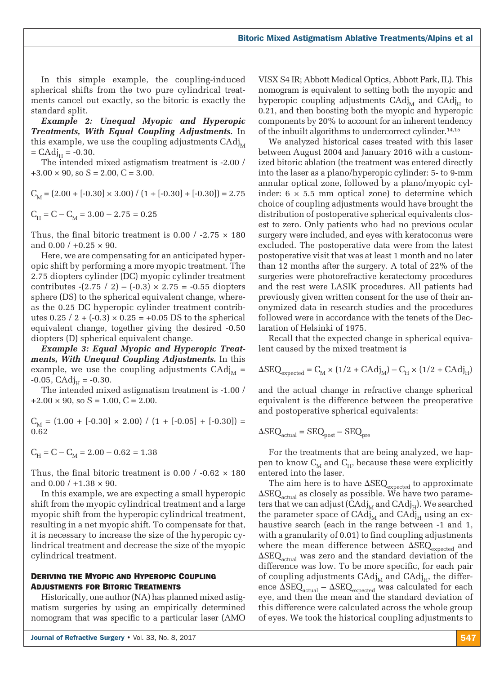In this simple example, the coupling-induced spherical shifts from the two pure cylindrical treatments cancel out exactly, so the bitoric is exactly the standard split.

*Example 2: Unequal Myopic and Hyperopic Treatments, With Equal Coupling Adjustments.* In this example, we use the coupling adjustments  $C \text{Adj}_{\text{M}}$  $=$  CAdj<sub>H</sub> = -0.30.

The intended mixed astigmatism treatment is -2.00 /  $+3.00 \times 90$ , so  $S = 2.00$ ,  $C = 3.00$ .

 $C_{\text{M}} = (2.00 + [-0.30] \times 3.00) / (1 + [-0.30] + [-0.30]) = 2.75$  $C_H = C - C_M = 3.00 - 2.75 = 0.25$ 

Thus, the final bitoric treatment is  $0.00 / -2.75 \times 180$ and  $0.00 / +0.25 \times 90$ .

Here, we are compensating for an anticipated hyperopic shift by performing a more myopic treatment. The 2.75 diopters cylinder (DC) myopic cylinder treatment contributes  $-(2.75 / 2) - (-0.3) \times 2.75 = -0.55$  diopters sphere (DS) to the spherical equivalent change, whereas the 0.25 DC hyperopic cylinder treatment contributes  $0.25 / 2 + (-0.3) \times 0.25 = +0.05$  DS to the spherical equivalent change, together giving the desired -0.50 diopters (D) spherical equivalent change.

*Example 3: Equal Myopic and Hyperopic Treatments, With Unequal Coupling Adjustments.* In this example, we use the coupling adjustments  $C \text{Ad}^{1}_{\text{M}} =$  $-0.05$ ,  $C \text{Adj}_{H} = -0.30$ .

The intended mixed astigmatism treatment is -1.00 /  $+2.00 \times 90$ , so S = 1.00, C = 2.00.

 $C_{\text{M}} = (1.00 + [-0.30] \times 2.00) / (1 + [-0.05] + [-0.30]) =$ 0.62

$$
\mathrm{C}_{\mathrm{H}}^{} = \mathrm{C} - \mathrm{C}_{\mathrm{M}}^{} = 2.00 - 0.62 = 1.38
$$

Thus, the final bitoric treatment is 0.00  $/$  -0.62  $\times$  180 and  $0.00 / +1.38 \times 90$ .

In this example, we are expecting a small hyperopic shift from the myopic cylindrical treatment and a large myopic shift from the hyperopic cylindrical treatment, resulting in a net myopic shift. To compensate for that, it is necessary to increase the size of the hyperopic cylindrical treatment and decrease the size of the myopic cylindrical treatment.

## Deriving the Myopic and Hyperopic Coupling Adjustments for Bitoric Treatments

Historically, one author (NA) has planned mixed astigmatism surgeries by using an empirically determined nomogram that was specific to a particular laser (AMO VISX S4 IR; Abbott Medical Optics, Abbott Park, IL). This nomogram is equivalent to setting both the myopic and hyperopic coupling adjustments  $C \text{Adj}_{M}$  and  $C \text{Adj}_{H}$  to 0.21, and then boosting both the myopic and hyperopic components by 20% to account for an inherent tendency of the inbuilt algorithms to undercorrect cylinder.14,15

We analyzed historical cases treated with this laser between August 2004 and January 2016 with a customized bitoric ablation (the treatment was entered directly into the laser as a plano/hyperopic cylinder: 5- to 9-mm annular optical zone, followed by a plano/myopic cylinder:  $6 \times 5.5$  mm optical zone) to determine which choice of coupling adjustments would have brought the distribution of postoperative spherical equivalents closest to zero. Only patients who had no previous ocular surgery were included, and eyes with keratoconus were excluded. The postoperative data were from the latest postoperative visit that was at least 1 month and no later than 12 months after the surgery. A total of 22% of the surgeries were photorefractive keratectomy procedures and the rest were LASIK procedures. All patients had previously given written consent for the use of their anonymized data in research studies and the procedures followed were in accordance with the tenets of the Declaration of Helsinki of 1975.

Recall that the expected change in spherical equivalent caused by the mixed treatment is

$$
\Delta \text{SEQ}_{\text{expected}} = C_{\text{M}} \times (1/2 + \text{CAdj}_{\text{M}}) - C_{\text{H}} \times (1/2 + \text{CAdj}_{\text{H}})
$$

and the actual change in refractive change spherical equivalent is the difference between the preoperative and postoperative spherical equivalents:

$$
\Delta \text{SEQ}_{\text{actual}} = \text{SEQ}_{\text{post}} - \text{SEQ}_{\text{pre}}
$$

For the treatments that are being analyzed, we happen to know  $C_M$  and  $C_H$ , because these were explicitly entered into the laser.

The aim here is to have  $\Delta$ SEQ<sub>expected</sub> to approximate  $\Delta SEQ_{\text{actual}}$  as closely as possible. We have two parameters that we can adjust (CAdj<sub>M</sub> and CAdj<sub>H</sub>). We searched the parameter space of  $\text{CAdj}_{\text{M}}$  and  $\text{CAdj}_{\text{H}}$  using an exhaustive search (each in the range between -1 and 1, with a granularity of 0.01) to find coupling adjustments where the mean difference between  $\Delta \text{SEQ}_{\text{expected}}$  and  $\Delta$ SEQ<sub>actual</sub> was zero and the standard deviation of the difference was low. To be more specific, for each pair of coupling adjustments  $CAdj_{M}$  and  $CAdj_{H}$ , the difference  $\Delta$ SEQ<sub>actual</sub> –  $\Delta$ SEQ<sub>expected</sub> was calculated for each eye, and then the mean and the standard deviation of this difference were calculated across the whole group of eyes. We took the historical coupling adjustments to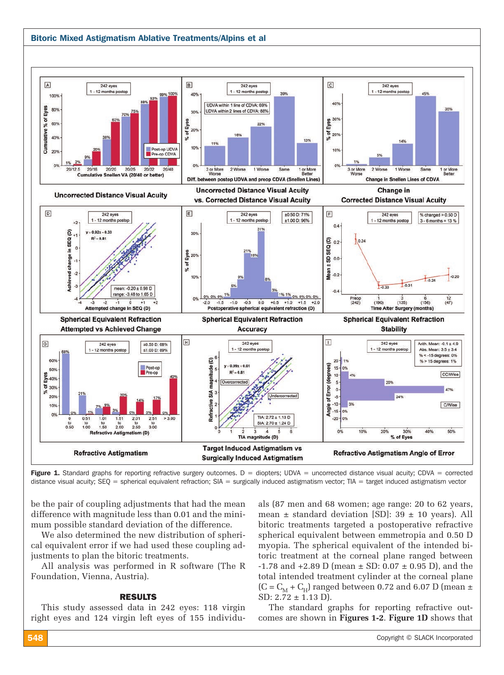## Bitoric Mixed Astigmatism Ablative Treatments/Alpins et al



Figure 1. Standard graphs for reporting refractive surgery outcomes.  $D =$  diopters; UDVA = uncorrected distance visual acuity; CDVA = corrected distance visual acuity; SEQ = spherical equivalent refraction; SIA = surgically induced astigmatism vector; TIA = target induced astigmatism vector

be the pair of coupling adjustments that had the mean difference with magnitude less than 0.01 and the minimum possible standard deviation of the difference.

We also determined the new distribution of spherical equivalent error if we had used these coupling adjustments to plan the bitoric treatments.

All analysis was performed in R software (The R Foundation, Vienna, Austria).

## RESULTS

This study assessed data in 242 eyes: 118 virgin right eyes and 124 virgin left eyes of 155 individuals (87 men and 68 women; age range: 20 to 62 years, mean  $\pm$  standard deviation [SD]: 39  $\pm$  10 years). All bitoric treatments targeted a postoperative refractive spherical equivalent between emmetropia and 0.50 D myopia. The spherical equivalent of the intended bitoric treatment at the corneal plane ranged between  $-1.78$  and  $+2.89$  D (mean  $\pm$  SD: 0.07  $\pm$  0.95 D), and the total intended treatment cylinder at the corneal plane  $(C = C<sub>M</sub> + C<sub>H</sub>)$  ranged between 0.72 and 6.07 D (mean  $\pm$ SD: 2.72 ± 1.13 D).

The standard graphs for reporting refractive outcomes are shown in **Figures 1-2**. **Figure 1D** shows that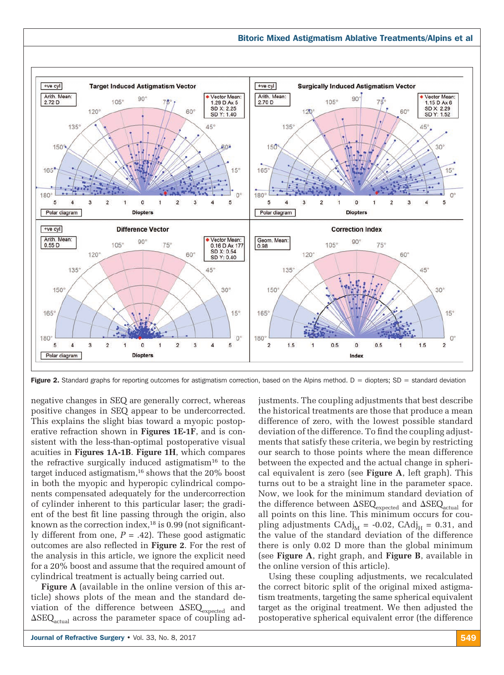

Figure 2. Standard graphs for reporting outcomes for astigmatism correction, based on the Alpins method.  $D =$  diopters; SD = standard deviation

negative changes in SEQ are generally correct, whereas positive changes in SEQ appear to be undercorrected. This explains the slight bias toward a myopic postoperative refraction shown in **Figures 1E-1F**, and is consistent with the less-than-optimal postoperative visual acuities in **Figures 1A-1B**. **Figure 1H**, which compares the refractive surgically induced astigmatism $16$  to the target induced astigmatism,<sup>16</sup> shows that the 20% boost in both the myopic and hyperopic cylindrical components compensated adequately for the undercorrection of cylinder inherent to this particular laser; the gradient of the best fit line passing through the origin, also known as the correction index, $18$  is 0.99 (not significantly different from one,  $P = .42$ ). These good astigmatic outcomes are also reflected in **Figure 2**. For the rest of the analysis in this article, we ignore the explicit need for a 20% boost and assume that the required amount of cylindrical treatment is actually being carried out.

**Figure A** (available in the online version of this article) shows plots of the mean and the standard deviation of the difference between  $\Delta \text{SEQ}_{\text{expected}}$  and  $\Delta$ SEQ<sub>actual</sub> across the parameter space of coupling adjustments. The coupling adjustments that best describe the historical treatments are those that produce a mean difference of zero, with the lowest possible standard deviation of the difference. To find the coupling adjustments that satisfy these criteria, we begin by restricting our search to those points where the mean difference between the expected and the actual change in spherical equivalent is zero (see **Figure A**, left graph). This turns out to be a straight line in the parameter space. Now, we look for the minimum standard deviation of the difference between  $\Delta \text{SEQ}_\text{expected}$  and  $\Delta \text{SEQ}_\text{actual}$  for all points on this line. This minimum occurs for coupling adjustments  $CAdj_{\text{M}} = -0.02$ ,  $CAdj_{\text{H}} = 0.31$ , and the value of the standard deviation of the difference there is only 0.02 D more than the global minimum (see **Figure A**, right graph, and **Figure B**, available in the online version of this article).

Using these coupling adjustments, we recalculated the correct bitoric split of the original mixed astigmatism treatments, targeting the same spherical equivalent target as the original treatment. We then adjusted the postoperative spherical equivalent error (the difference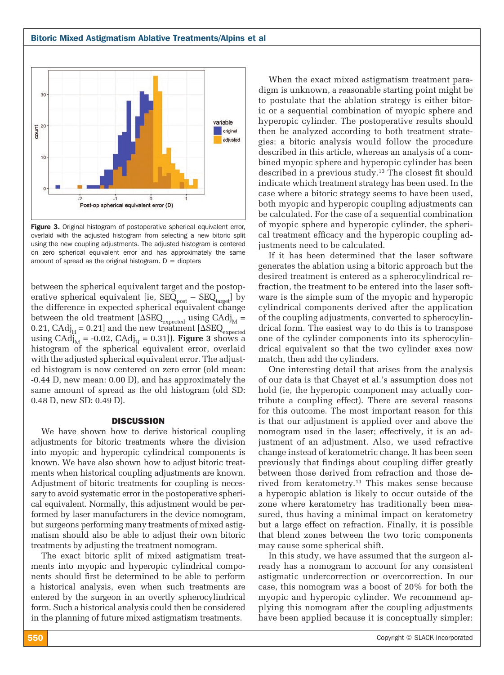

Figure 3. Original histogram of postoperative spherical equivalent error, overlaid with the adjusted histogram from selecting a new bitoric split using the new coupling adjustments. The adjusted histogram is centered on zero spherical equivalent error and has approximately the same amount of spread as the original histogram.  $D =$  diopters

between the spherical equivalent target and the postoperative spherical equivalent [ie,  $\text{SEQ}_{\text{post}} - \text{SEQ}_{\text{target}}$ ] by the difference in expected spherical equivalent change between the old treatment  $[{\Delta}$ SEQ<sub>expected</sub> using CAdj<sub>M</sub> = 0.21,  $C \text{Adj}_{H} = 0.21$ ] and the new treatment  $[\Delta \text{SEQ}_{\text{expected}}]$ using  $C \text{Adj}_{\text{M}} = -0.02$ ,  $C \text{Adj}_{\text{H}} = 0.31$ ]. **Figure 3** shows a histogram of the spherical equivalent error, overlaid with the adjusted spherical equivalent error. The adjusted histogram is now centered on zero error (old mean: -0.44 D, new mean: 0.00 D), and has approximately the same amount of spread as the old histogram (old SD: 0.48 D, new SD: 0.49 D).

#### **DISCUSSION**

We have shown how to derive historical coupling adjustments for bitoric treatments where the division into myopic and hyperopic cylindrical components is known. We have also shown how to adjust bitoric treatments when historical coupling adjustments are known. Adjustment of bitoric treatments for coupling is necessary to avoid systematic error in the postoperative spherical equivalent. Normally, this adjustment would be performed by laser manufacturers in the device nomogram, but surgeons performing many treatments of mixed astigmatism should also be able to adjust their own bitoric treatments by adjusting the treatment nomogram.

The exact bitoric split of mixed astigmatism treatments into myopic and hyperopic cylindrical components should first be determined to be able to perform a historical analysis, even when such treatments are entered by the surgeon in an overtly spherocylindrical form. Such a historical analysis could then be considered in the planning of future mixed astigmatism treatments.

When the exact mixed astigmatism treatment paradigm is unknown, a reasonable starting point might be to postulate that the ablation strategy is either bitoric or a sequential combination of myopic sphere and hyperopic cylinder. The postoperative results should then be analyzed according to both treatment strategies: a bitoric analysis would follow the procedure described in this article, whereas an analysis of a combined myopic sphere and hyperopic cylinder has been described in a previous study.13 The closest fit should indicate which treatment strategy has been used. In the case where a bitoric strategy seems to have been used, both myopic and hyperopic coupling adjustments can be calculated. For the case of a sequential combination of myopic sphere and hyperopic cylinder, the spherical treatment efficacy and the hyperopic coupling adjustments need to be calculated.

If it has been determined that the laser software generates the ablation using a bitoric approach but the desired treatment is entered as a spherocylindrical refraction, the treatment to be entered into the laser software is the simple sum of the myopic and hyperopic cylindrical components derived after the application of the coupling adjustments, converted to spherocylindrical form. The easiest way to do this is to transpose one of the cylinder components into its spherocylindrical equivalent so that the two cylinder axes now match, then add the cylinders.

One interesting detail that arises from the analysis of our data is that Chayet et al.'s assumption does not hold (ie, the hyperopic component may actually contribute a coupling effect). There are several reasons for this outcome. The most important reason for this is that our adjustment is applied over and above the nomogram used in the laser; effectively, it is an adjustment of an adjustment. Also, we used refractive change instead of keratometric change. It has been seen previously that findings about coupling differ greatly between those derived from refraction and those derived from keratometry.<sup>13</sup> This makes sense because a hyperopic ablation is likely to occur outside of the zone where keratometry has traditionally been measured, thus having a minimal impact on keratometry but a large effect on refraction. Finally, it is possible that blend zones between the two toric components may cause some spherical shift.

In this study, we have assumed that the surgeon already has a nomogram to account for any consistent astigmatic undercorrection or overcorrection. In our case, this nomogram was a boost of 20% for both the myopic and hyperopic cylinder. We recommend applying this nomogram after the coupling adjustments have been applied because it is conceptually simpler: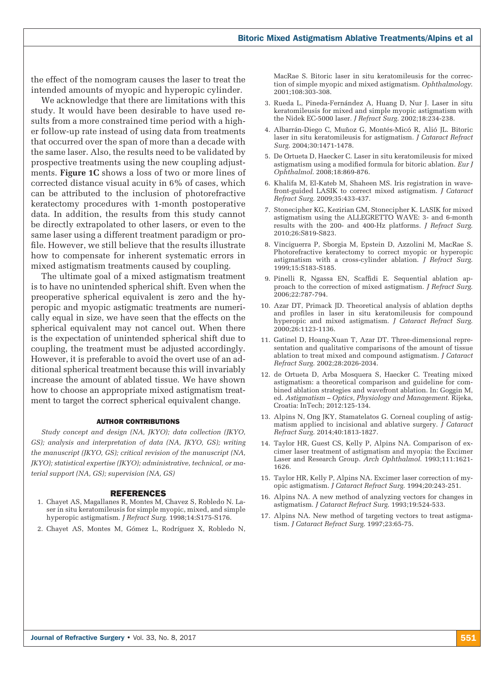the effect of the nomogram causes the laser to treat the intended amounts of myopic and hyperopic cylinder.

We acknowledge that there are limitations with this study. It would have been desirable to have used results from a more constrained time period with a higher follow-up rate instead of using data from treatments that occurred over the span of more than a decade with the same laser. Also, the results need to be validated by prospective treatments using the new coupling adjustments. **Figure 1C** shows a loss of two or more lines of corrected distance visual acuity in 6% of cases, which can be attributed to the inclusion of photorefractive keratectomy procedures with 1-month postoperative data. In addition, the results from this study cannot be directly extrapolated to other lasers, or even to the same laser using a different treatment paradigm or profile. However, we still believe that the results illustrate how to compensate for inherent systematic errors in mixed astigmatism treatments caused by coupling.

The ultimate goal of a mixed astigmatism treatment is to have no unintended spherical shift. Even when the preoperative spherical equivalent is zero and the hyperopic and myopic astigmatic treatments are numerically equal in size, we have seen that the effects on the spherical equivalent may not cancel out. When there is the expectation of unintended spherical shift due to coupling, the treatment must be adjusted accordingly. However, it is preferable to avoid the overt use of an additional spherical treatment because this will invariably increase the amount of ablated tissue. We have shown how to choose an appropriate mixed astigmatism treatment to target the correct spherical equivalent change.

#### AUTHOR CONTRIBUTIONS

*Study concept and design (NA, JKYO); data collection (JKYO, GS); analysis and interpretation of data (NA, JKYO, GS); writing the manuscript (JKYO, GS); critical revision of the manuscript (NA, JKYO); statistical expertise (JKYO); administrative, technical, or material support (NA, GS); supervision (NA, GS)*

#### REFERENCES

- 1. Chayet AS, Magallanes R, Montes M, Chavez S, Robledo N. Laser in situ keratomileusis for simple myopic, mixed, and simple hyperopic astigmatism. *J Refract Surg*. 1998;14:S175-S176.
- 2. Chayet AS, Montes M, Gómez L, Rodríguez X, Robledo N,

MacRae S. Bitoric laser in situ keratomileusis for the correction of simple myopic and mixed astigmatism. *Ophthalmology*. 2001;108:303-308.

- 3. Rueda L, Pineda-Fernández A, Huang D, Nur J. Laser in situ keratomileusis for mixed and simple myopic astigmatism with the Nidek EC-5000 laser. *J Refract Surg*. 2002;18:234-238.
- 4. Albarrán-Diego C, Muñoz G, Montés-Micó R, Alió JL. Bitoric laser in situ keratomileusis for astigmatism. *J Cataract Refract Surg*. 2004;30:1471-1478.
- 5. De Ortueta D, Haecker C. Laser in situ keratomileusis for mixed astigmatism using a modified formula for bitoric ablation. *Eur J Ophthalmol*. 2008;18:869-876.
- 6. Khalifa M, El-Kateb M, Shaheen MS. Iris registration in wavefront-guided LASIK to correct mixed astigmatism. *J Cataract Refract Surg*. 2009;35:433-437.
- 7. Stonecipher KG, Kezirian GM, Stonecipher K. LASIK for mixed astigmatism using the ALLEGRETTO WAVE: 3- and 6-month results with the 200- and 400-Hz platforms. *J Refract Surg*. 2010;26:S819-S823.
- 8. Vinciguerra P, Sborgia M, Epstein D, Azzolini M, MacRae S. Photorefractive keratectomy to correct myopic or hyperopic astigmatism with a cross-cylinder ablation. *J Refract Surg*. 1999;15:S183-S185.
- 9. Pinelli R, Ngassa EN, Scaffidi E. Sequential ablation approach to the correction of mixed astigmatism. *J Refract Surg*. 2006;22:787-794.
- 10. Azar DT, Primack JD. Theoretical analysis of ablation depths and profiles in laser in situ keratomileusis for compound hyperopic and mixed astigmatism. *J Cataract Refract Surg*. 2000;26:1123-1136.
- 11. Gatinel D, Hoang-Xuan T, Azar DT. Three-dimensional representation and qualitative comparisons of the amount of tissue ablation to treat mixed and compound astigmatism. *J Cataract Refract Surg*. 2002;28:2026-2034.
- 12. de Ortueta D, Arba Mosquera S, Haecker C. Treating mixed astigmatism: a theoretical comparison and guideline for combined ablation strategies and wavefront ablation. In: Goggin M, ed. *Astigmatism – Optics, Physiology and Management*. Rijeka, Croatia: InTech; 2012:125-134.
- 13. Alpins N, Ong JKY, Stamatelatos G. Corneal coupling of astigmatism applied to incisional and ablative surgery. *J Cataract Refract Surg*. 2014;40:1813-1827.
- 14. Taylor HR, Guest CS, Kelly P, Alpins NA. Comparison of excimer laser treatment of astigmatism and myopia: the Excimer Laser and Research Group. *Arch Ophthalmol*. 1993;111:1621- 1626.
- 15. Taylor HR, Kelly P, Alpins NA. Excimer laser correction of myopic astigmatism. *J Cataract Refract Surg*. 1994;20:243-251.
- 16. Alpins NA. A new method of analyzing vectors for changes in astigmatism. *J Cataract Refract Surg*. 1993;19:524-533.
- 17. Alpins NA. New method of targeting vectors to treat astigmatism. *J Cataract Refract Surg*. 1997;23:65-75.